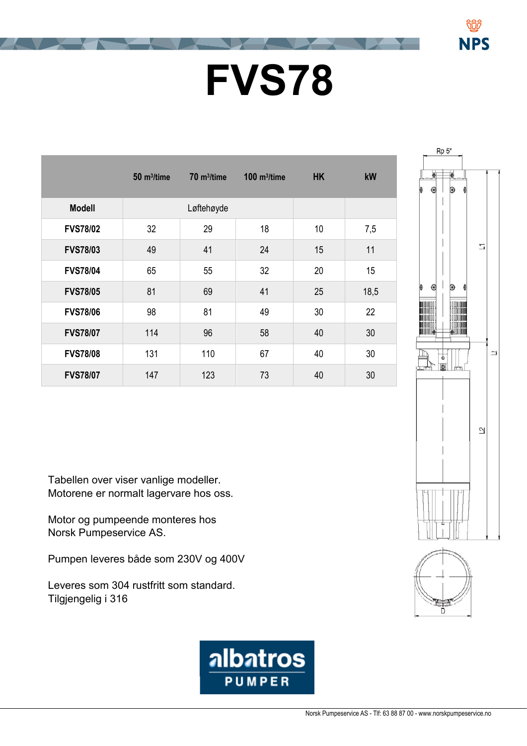## **FVS78**

|                 | $50 \; \mathrm{m}^3/\mathrm{time}$ | $70 \text{ m}^3$ /time | $100$ m <sup>3</sup> /time | <b>HK</b> | kW   |
|-----------------|------------------------------------|------------------------|----------------------------|-----------|------|
| <b>Modell</b>   |                                    | Løftehøyde             |                            |           |      |
| <b>FVS78/02</b> | 32                                 | 29                     | 18                         | 10        | 7,5  |
| <b>FVS78/03</b> | 49                                 | 41                     | 24                         | 15        | 11   |
| <b>FVS78/04</b> | 65                                 | 55                     | 32                         | 20        | 15   |
| <b>FVS78/05</b> | 81                                 | 69                     | 41                         | 25        | 18,5 |
| <b>FVS78/06</b> | 98                                 | 81                     | 49                         | 30        | 22   |
| <b>FVS78/07</b> | 114                                | 96                     | 58                         | 40        | 30   |
| <b>FVS78/08</b> | 131                                | 110                    | 67                         | 40        | 30   |
| <b>FVS78/07</b> | 147                                | 123                    | 73                         | 40        | 30   |



**NPS** 

Tabellen over viser vanlige modeller. Motorene er normalt lagervare hos oss.

Motor og pumpeende monteres hos Norsk Pumpeservice AS.

Pumpen leveres både som 230V og 400V

Leveres som 304 rustfritt som standard. Tilgjengelig i 316